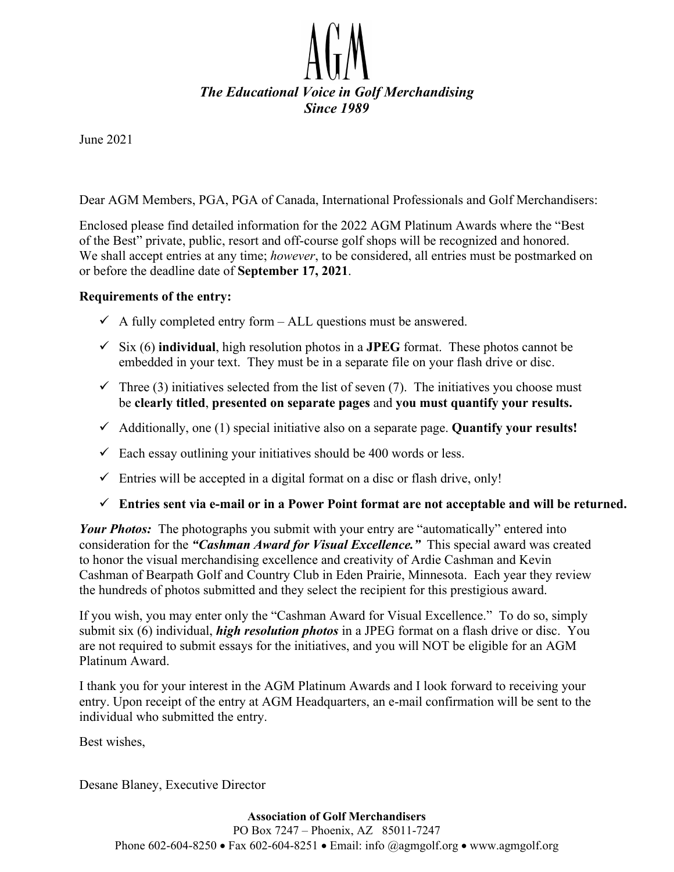

June 2021

Dear AGM Members, PGA, PGA of Canada, International Professionals and Golf Merchandisers:

Enclosed please find detailed information for the 2022 AGM Platinum Awards where the "Best of the Best" private, public, resort and off-course golf shops will be recognized and honored. We shall accept entries at any time; *however*, to be considered, all entries must be postmarked on or before the deadline date of **September 17, 2021**.

#### **Requirements of the entry:**

- $\checkmark$  A fully completed entry form ALL questions must be answered.
- $\checkmark$  Six (6) **individual**, high resolution photos in a **JPEG** format. These photos cannot be embedded in your text. They must be in a separate file on your flash drive or disc.
- $\checkmark$  Three (3) initiatives selected from the list of seven (7). The initiatives you choose must be **clearly titled**, **presented on separate pages** and **you must quantify your results.**
- Additionally, one (1) special initiative also on a separate page. **Quantify your results!**
- $\checkmark$  Each essay outlining your initiatives should be 400 words or less.
- $\checkmark$  Entries will be accepted in a digital format on a disc or flash drive, only!

#### **Entries sent via e-mail or in a Power Point format are not acceptable and will be returned.**

*Your Photos:* The photographs you submit with your entry are "automatically" entered into consideration for the *"Cashman Award for Visual Excellence."* This special award was created to honor the visual merchandising excellence and creativity of Ardie Cashman and Kevin Cashman of Bearpath Golf and Country Club in Eden Prairie, Minnesota. Each year they review the hundreds of photos submitted and they select the recipient for this prestigious award.

If you wish, you may enter only the "Cashman Award for Visual Excellence." To do so, simply submit six (6) individual, *high resolution photos* in a JPEG format on a flash drive or disc. You are not required to submit essays for the initiatives, and you will NOT be eligible for an AGM Platinum Award.

I thank you for your interest in the AGM Platinum Awards and I look forward to receiving your entry. Upon receipt of the entry at AGM Headquarters, an e-mail confirmation will be sent to the individual who submitted the entry.

Best wishes,

Desane Blaney, Executive Director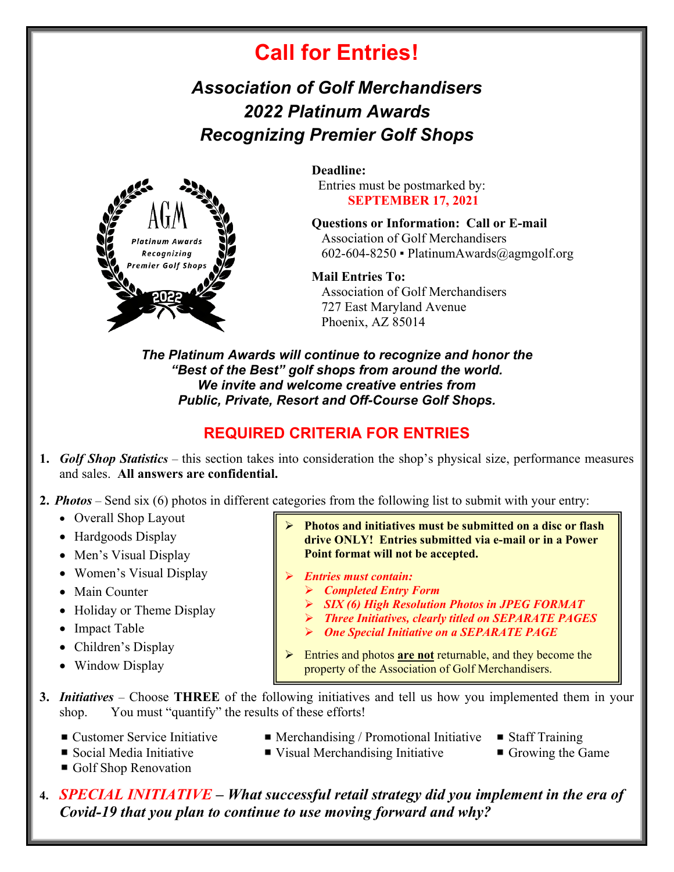# **Call for Entries!**

## *Association of Golf Merchandisers 2022 Platinum Awards Recognizing Premier Golf Shops*



**Deadline:**  Entries must be postmarked by: **SEPTEMBER 17, 2021**

**Questions or Information: Call or E-mail**  Association of Golf Merchandisers 602-604-8250 ▪ PlatinumAwards@agmgolf.org

**Mail Entries To:**  Association of Golf Merchandisers 727 East Maryland Avenue

Phoenix, AZ 85014

*The Platinum Awards will continue to recognize and honor the "Best of the Best" golf shops from around the world. We invite and welcome creative entries from Public, Private, Resort and Off-Course Golf Shops.* 

## **REQUIRED CRITERIA FOR ENTRIES**

- **1.** *Golf Shop Statistics* this section takes into consideration the shop's physical size, performance measures and sales. **All answers are confidential.**
- **2.** *Photos* Send six (6) photos in different categories from the following list to submit with your entry:
	- Overall Shop Layout
	- Hardgoods Display
	- Men's Visual Display
	- Women's Visual Display
	- Main Counter
	- Holiday or Theme Display
	- Impact Table
	- Children's Display
	- Window Display
- **Photos and initiatives must be submitted on a disc or flash drive ONLY! Entries submitted via e-mail or in a Power Point format will not be accepted.** 
	- *Entries must contain:*
		- *Completed Entry Form*
		- *SIX (6) High Resolution Photos in JPEG FORMAT*
		- *Three Initiatives, clearly titled on SEPARATE PAGES*
		- *One Special Initiative on a SEPARATE PAGE*
- Entries and photos **are not** returnable, and they become the property of the Association of Golf Merchandisers.
- **3.** *Initiatives* Choose **THREE** of the following initiatives and tell us how you implemented them in your shop. You must "quantify" the results of these efforts!
	- Customer Service Initiative Merchandising / Promotional Initiative Staff Training
		-
- 
- Social Media Initiative Visual Merchandising Initiative Growing the Game
- Golf Shop Renovation
- 
- 
- **4.** *SPECIAL INITIATIVE What successful retail strategy did you implement in the era of Covid-19 that you plan to continue to use moving forward and why?*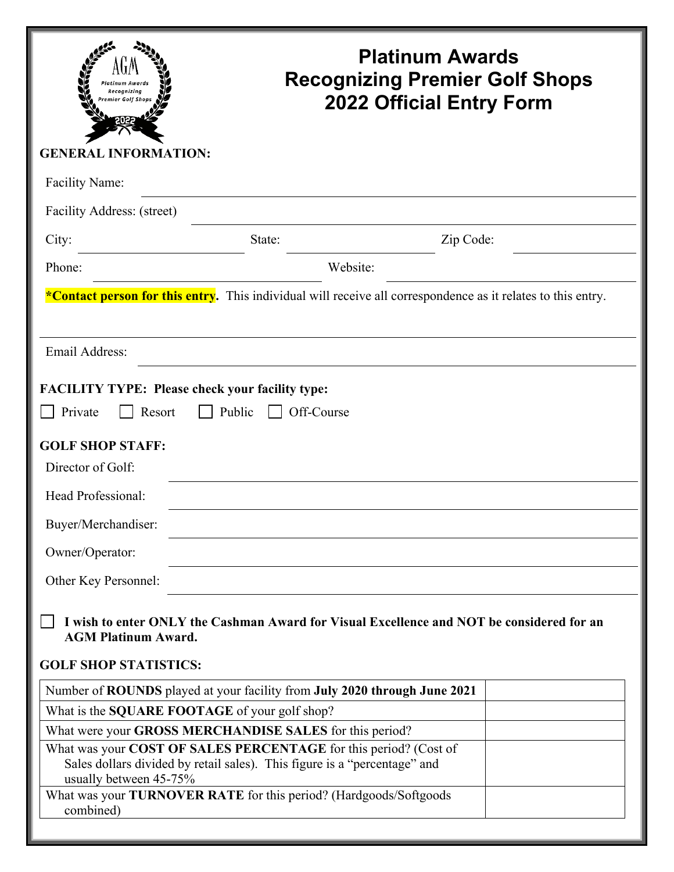| Recognizina<br>mier Golf Shop.                                                                                              | <b>Platinum Awards</b><br><b>Recognizing Premier Golf Shops</b><br><b>2022 Official Entry Form</b>                                            |  |  |  |  |
|-----------------------------------------------------------------------------------------------------------------------------|-----------------------------------------------------------------------------------------------------------------------------------------------|--|--|--|--|
| <b>GENERAL INFORMATION:</b>                                                                                                 |                                                                                                                                               |  |  |  |  |
| Facility Name:                                                                                                              |                                                                                                                                               |  |  |  |  |
| Facility Address: (street)                                                                                                  |                                                                                                                                               |  |  |  |  |
| City:                                                                                                                       | Zip Code:<br>State:                                                                                                                           |  |  |  |  |
| Phone:                                                                                                                      | Website:                                                                                                                                      |  |  |  |  |
|                                                                                                                             |                                                                                                                                               |  |  |  |  |
|                                                                                                                             | *Contact person for this entry. This individual will receive all correspondence as it relates to this entry.                                  |  |  |  |  |
|                                                                                                                             |                                                                                                                                               |  |  |  |  |
| Email Address:                                                                                                              |                                                                                                                                               |  |  |  |  |
| <b>FACILITY TYPE: Please check your facility type:</b><br>Private<br>Resort<br><b>GOLF SHOP STAFF:</b><br>Director of Golf: | Public<br>Off-Course                                                                                                                          |  |  |  |  |
| Head Professional:                                                                                                          |                                                                                                                                               |  |  |  |  |
| Buyer/Merchandiser:                                                                                                         |                                                                                                                                               |  |  |  |  |
| Owner/Operator:                                                                                                             |                                                                                                                                               |  |  |  |  |
|                                                                                                                             |                                                                                                                                               |  |  |  |  |
| Other Key Personnel:                                                                                                        |                                                                                                                                               |  |  |  |  |
| I wish to enter ONLY the Cashman Award for Visual Excellence and NOT be considered for an<br><b>AGM Platinum Award.</b>     |                                                                                                                                               |  |  |  |  |
| <b>GOLF SHOP STATISTICS:</b>                                                                                                |                                                                                                                                               |  |  |  |  |
|                                                                                                                             | Number of ROUNDS played at your facility from July 2020 through June 2021                                                                     |  |  |  |  |
| What is the SQUARE FOOTAGE of your golf shop?                                                                               |                                                                                                                                               |  |  |  |  |
|                                                                                                                             | What were your GROSS MERCHANDISE SALES for this period?                                                                                       |  |  |  |  |
|                                                                                                                             | What was your COST OF SALES PERCENTAGE for this period? (Cost of<br>Sales dollars divided by retail sales). This figure is a "percentage" and |  |  |  |  |
| usually between 45-75%<br>combined)                                                                                         | What was your TURNOVER RATE for this period? (Hardgoods/Softgoods                                                                             |  |  |  |  |
|                                                                                                                             |                                                                                                                                               |  |  |  |  |